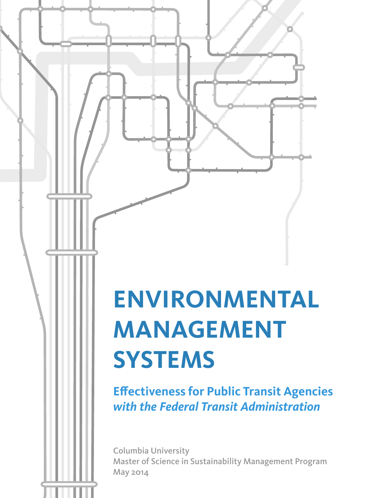# **ENVIRONMENTAL MANAGEMENT SYSTEMS**

**Effectiveness for Public Transit Agencies** *with the Federal Transit Administration*

Columbia University Master of Science in Sustainability Management Program May 2014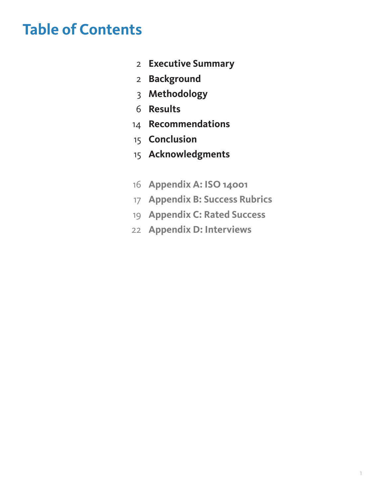# **Table of Contents**

- **Executive Summary**
- **Background**
- **Methodology**
- **Results**
- **Recommendations**
- **Conclusion**
- **Acknowledgments**
- **Appendix A: ISO 14001**
- **Appendix B: Success Rubrics**
- **Appendix C: Rated Success**
- **Appendix D: Interviews**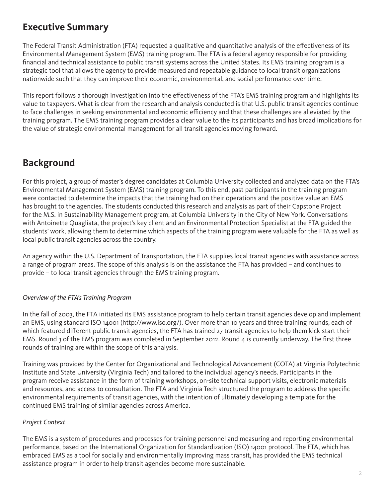# **Executive Summary**

The Federal Transit Administration (FTA) requested a qualitative and quantitative analysis of the effectiveness of its Environmental Management System (EMS) training program. The FTA is a federal agency responsible for providing financial and technical assistance to public transit systems across the United States. Its EMS training program is a strategic tool that allows the agency to provide measured and repeatable guidance to local transit organizations nationwide such that they can improve their economic, environmental, and social performance over time.

This report follows a thorough investigation into the effectiveness of the FTA's EMS training program and highlights its value to taxpayers. What is clear from the research and analysis conducted is that U.S. public transit agencies continue to face challenges in seeking environmental and economic efficiency and that these challenges are alleviated by the training program. The EMS training program provides a clear value to the its participants and has broad implications for the value of strategic environmental management for all transit agencies moving forward.

# **Background**

For this project, a group of master's degree candidates at Columbia University collected and analyzed data on the FTA's Environmental Management System (EMS) training program. To this end, past participants in the training program were contacted to determine the impacts that the training had on their operations and the positive value an EMS has brought to the agencies. The students conducted this research and analysis as part of their Capstone Project for the M.S. in Sustainability Management program, at Columbia University in the City of New York. Conversations with Antoinette Quagliata, the project's key client and an Environmental Protection Specialist at the FTA guided the students' work, allowing them to determine which aspects of the training program were valuable for the FTA as well as local public transit agencies across the country.

An agency within the U.S. Department of Transportation, the FTA supplies local transit agencies with assistance across a range of program areas. The scope of this analysis is on the assistance the FTA has provided – and continues to provide – to local transit agencies through the EMS training program.

## *Overview of the FTA's Training Program*

In the fall of 2003, the FTA initiated its EMS assistance program to help certain transit agencies develop and implement an EMS, using standard ISO 14001 (http://www.iso.org/). Over more than 10 years and three training rounds, each of which featured different public transit agencies, the FTA has trained 27 transit agencies to help them kick-start their EMS. Round 3 of the EMS program was completed in September 2012. Round 4 is currently underway. The first three rounds of training are within the scope of this analysis.

Training was provided by the Center for Organizational and Technological Advancement (COTA) at Virginia Polytechnic Institute and State University (Virginia Tech) and tailored to the individual agency's needs. Participants in the program receive assistance in the form of training workshops, on-site technical support visits, electronic materials and resources, and access to consultation. The FTA and Virginia Tech structured the program to address the specific environmental requirements of transit agencies, with the intention of ultimately developing a template for the continued EMS training of similar agencies across America.

## *Project Context*

The EMS is a system of procedures and processes for training personnel and measuring and reporting environmental performance, based on the International Organization for Standardization (ISO) 14001 protocol. The FTA, which has embraced EMS as a tool for socially and environmentally improving mass transit, has provided the EMS technical assistance program in order to help transit agencies become more sustainable.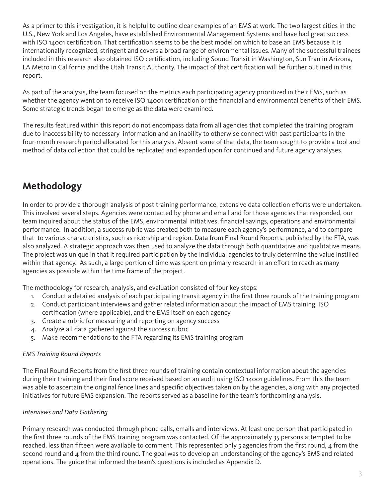As a primer to this investigation, it is helpful to outline clear examples of an EMS at work. The two largest cities in the U.S., New York and Los Angeles, have established Environmental Management Systems and have had great success with ISO 14001 certification. That certification seems to be the best model on which to base an EMS because it is internationally recognized, stringent and covers a broad range of environmental issues. Many of the successful trainees included in this research also obtained ISO certification, including Sound Transit in Washington, Sun Tran in Arizona, LA Metro in California and the Utah Transit Authority. The impact of that certification will be further outlined in this report.

As part of the analysis, the team focused on the metrics each participating agency prioritized in their EMS, such as whether the agency went on to receive ISO 14001 certification or the financial and environmental benefits of their EMS. Some strategic trends began to emerge as the data were examined.

The results featured within this report do not encompass data from all agencies that completed the training program due to inaccessibility to necessary information and an inability to otherwise connect with past participants in the four-month research period allocated for this analysis. Absent some of that data, the team sought to provide a tool and method of data collection that could be replicated and expanded upon for continued and future agency analyses.

# **Methodology**

In order to provide a thorough analysis of post training performance, extensive data collection efforts were undertaken. This involved several steps. Agencies were contacted by phone and email and for those agencies that responded, our team inquired about the status of the EMS, environmental initiatives, financial savings, operations and environmental performance. In addition, a success rubric was created both to measure each agency's performance, and to compare that to various characteristics, such as ridership and region. Data from Final Round Reports, published by the FTA, was also analyzed. A strategic approach was then used to analyze the data through both quantitative and qualitative means. The project was unique in that it required participation by the individual agencies to truly determine the value instilled within that agency. As such, a large portion of time was spent on primary research in an effort to reach as many agencies as possible within the time frame of the project.

The methodology for research, analysis, and evaluation consisted of four key steps:

- 1. Conduct a detailed analysis of each participating transit agency in the first three rounds of the training program
- 2. Conduct participant interviews and gather related information about the impact of EMS training, ISO certification (where applicable), and the EMS itself on each agency
- 3. Create a rubric for measuring and reporting on agency success
- 4. Analyze all data gathered against the success rubric
- 5. Make recommendations to the FTA regarding its EMS training program

### *EMS Training Round Reports*

The Final Round Reports from the first three rounds of training contain contextual information about the agencies during their training and their final score received based on an audit using ISO 14001 guidelines. From this the team was able to ascertain the original fence lines and specific objectives taken on by the agencies, along with any projected initiatives for future EMS expansion. The reports served as a baseline for the team's forthcoming analysis.

### *Interviews and Data Gathering*

Primary research was conducted through phone calls, emails and interviews. At least one person that participated in the first three rounds of the EMS training program was contacted. Of the approximately 35 persons attempted to be reached, less than fifteen were available to comment. This represented only 5 agencies from the first round, 4 from the second round and 4 from the third round. The goal was to develop an understanding of the agency's EMS and related operations. The guide that informed the team's questions is included as Appendix D.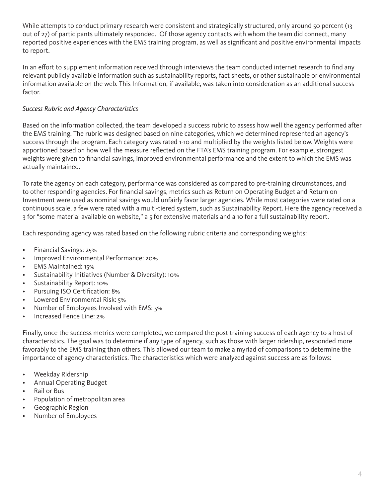While attempts to conduct primary research were consistent and strategically structured, only around 50 percent (13 out of 27) of participants ultimately responded. Of those agency contacts with whom the team did connect, many reported positive experiences with the EMS training program, as well as significant and positive environmental impacts to report.

In an effort to supplement information received through interviews the team conducted internet research to find any relevant publicly available information such as sustainability reports, fact sheets, or other sustainable or environmental information available on the web. This Information, if available, was taken into consideration as an additional success factor.

#### *Success Rubric and Agency Characteristics*

Based on the information collected, the team developed a success rubric to assess how well the agency performed after the EMS training. The rubric was designed based on nine categories, which we determined represented an agency's success through the program. Each category was rated 1-10 and multiplied by the weights listed below. Weights were apportioned based on how well the measure reflected on the FTA's EMS training program. For example, strongest weights were given to financial savings, improved environmental performance and the extent to which the EMS was actually maintained.

To rate the agency on each category, performance was considered as compared to pre-training circumstances, and to other responding agencies. For financial savings, metrics such as Return on Operating Budget and Return on Investment were used as nominal savings would unfairly favor larger agencies. While most categories were rated on a continuous scale, a few were rated with a multi-tiered system, such as Sustainability Report. Here the agency received a 3 for "some material available on website," a 5 for extensive materials and a 10 for a full sustainability report.

Each responding agency was rated based on the following rubric criteria and corresponding weights:

- Financial Savings: 25%
- Improved Environmental Performance: 20%
- EMS Maintained: 15%
- Sustainability Initiatives (Number & Diversity): 10%
- Sustainability Report: 10%
- Pursuing ISO Certification: 8%
- Lowered Environmental Risk: 5%
- Number of Employees Involved with EMS: 5%
- Increased Fence Line: 2%

Finally, once the success metrics were completed, we compared the post training success of each agency to a host of characteristics. The goal was to determine if any type of agency, such as those with larger ridership, responded more favorably to the EMS training than others. This allowed our team to make a myriad of comparisons to determine the importance of agency characteristics. The characteristics which were analyzed against success are as follows:

- Weekday Ridership
- Annual Operating Budget
- Rail or Bus
- Population of metropolitan area
- Geographic Region
- Number of Employees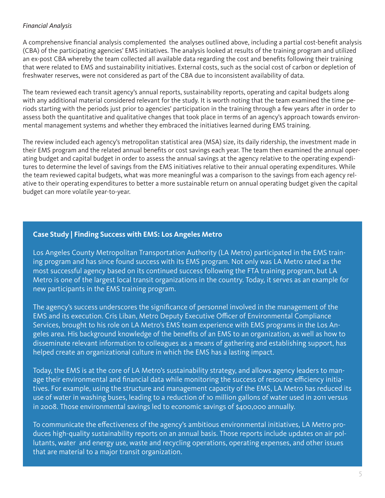#### *Financial Analysis*

A comprehensive financial analysis complemented the analyses outlined above, including a partial cost-benefit analysis (CBA) of the participating agencies' EMS initiatives. The analysis looked at results of the training program and utilized an ex-post CBA whereby the team collected all available data regarding the cost and benefits following their training that were related to EMS and sustainability initiatives. External costs, such as the social cost of carbon or depletion of freshwater reserves, were not considered as part of the CBA due to inconsistent availability of data.

The team reviewed each transit agency's annual reports, sustainability reports, operating and capital budgets along with any additional material considered relevant for the study. It is worth noting that the team examined the time periods starting with the periods just prior to agencies' participation in the training through a few years after in order to assess both the quantitative and qualitative changes that took place in terms of an agency's approach towards environmental management systems and whether they embraced the initiatives learned during EMS training.

The review included each agency's metropolitan statistical area (MSA) size, its daily ridership, the investment made in their EMS program and the related annual benefits or cost savings each year. The team then examined the annual operating budget and capital budget in order to assess the annual savings at the agency relative to the operating expenditures to determine the level of savings from the EMS initiatives relative to their annual operating expenditures. While the team reviewed capital budgets, what was more meaningful was a comparison to the savings from each agency relative to their operating expenditures to better a more sustainable return on annual operating budget given the capital budget can more volatile year-to-year.

#### **Case Study | Finding Success with EMS: Los Angeles Metro**

Los Angeles County Metropolitan Transportation Authority (LA Metro) participated in the EMS training program and has since found success with its EMS program. Not only was LA Metro rated as the most successful agency based on its continued success following the FTA training program, but LA Metro is one of the largest local transit organizations in the country. Today, it serves as an example for new participants in the EMS training program.

The agency's success underscores the significance of personnel involved in the management of the EMS and its execution. Cris Liban, Metro Deputy Executive Officer of Environmental Compliance Services, brought to his role on LA Metro's EMS team experience with EMS programs in the Los Angeles area. His background knowledge of the benefits of an EMS to an organization, as well as how to disseminate relevant information to colleagues as a means of gathering and establishing support, has helped create an organizational culture in which the EMS has a lasting impact.

Today, the EMS is at the core of LA Metro's sustainability strategy, and allows agency leaders to manage their environmental and financial data while monitoring the success of resource efficiency initiatives. For example, using the structure and management capacity of the EMS, LA Metro has reduced its use of water in washing buses, leading to a reduction of 10 million gallons of water used in 2011 versus in 2008. Those environmental savings led to economic savings of \$400,000 annually.

To communicate the effectiveness of the agency's ambitious environmental initiatives, LA Metro produces high-quality sustainability reports on an annual basis. Those reports include updates on air pollutants, water and energy use, waste and recycling operations, operating expenses, and other issues that are material to a major transit organization.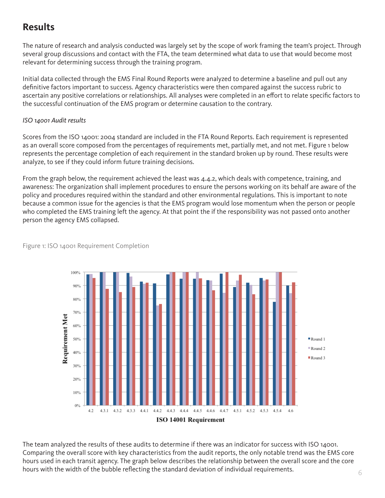# **Results**

The nature of research and analysis conducted was largely set by the scope of work framing the team's project. Through several group discussions and contact with the FTA, the team determined what data to use that would become most relevant for determining success through the training program.

Initial data collected through the EMS Final Round Reports were analyzed to determine a baseline and pull out any definitive factors important to success. Agency characteristics were then compared against the success rubric to ascertain any positive correlations or relationships. All analyses were completed in an effort to relate specific factors to the successful continuation of the EMS program or determine causation to the contrary.

## *ISO 14001 Audit results*

Scores from the ISO 14001: 2004 standard are included in the FTA Round Reports. Each requirement is represented as an overall score composed from the percentages of requirements met, partially met, and not met. Figure 1 below represents the percentage completion of each requirement in the standard broken up by round. These results were analyze, to see if they could inform future training decisions.

From the graph below, the requirement achieved the least was 4.4.2, which deals with competence, training, and awareness: The organization shall implement procedures to ensure the persons working on its behalf are aware of the policy and procedures required within the standard and other environmental regulations. This is important to note because a common issue for the agencies is that the EMS program would lose momentum when the person or people who completed the EMS training left the agency. At that point the if the responsibility was not passed onto another person the agency EMS collapsed.



#### Figure 1: ISO 14001 Requirement Completion

The team analyzed the results of these audits to determine if there was an indicator for success with ISO 14001. Comparing the overall score with key characteristics from the audit reports, the only notable trend was the EMS core hours used in each transit agency. The graph below describes the relationship between the overall score and the core hours with the width of the bubble reflecting the standard deviation of individual requirements.  $6\,$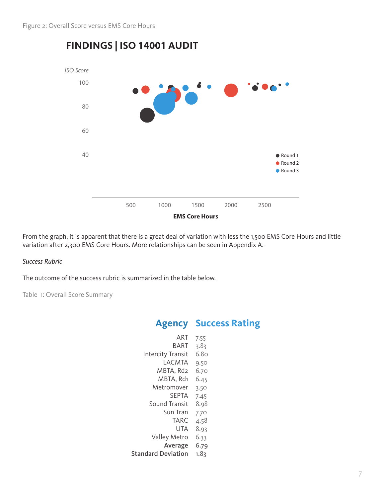

From the graph, it is apparent that there is a great deal of variation with less the 1,500 EMS Core Hours and little variation after 2,300 EMS Core Hours. More relationships can be seen in Appendix A.

*Success Rubric*

The outcome of the success rubric is summarized in the table below.

Table 1: Overall Score Summary

#### **Agency Success Rating** ART BART Intercity Transit LACMTA MBTA, Rd2 MBTA, Rd1 Metromover SEPTA Sound Transit Sun Tran TARC UTA Valley Metro Average Standard Deviation 1.83 7.55 3.83 6.80 9.50 6.70 6.45 3.50 7.45 8.98 7.70 4.58 8.93 6.33 6.79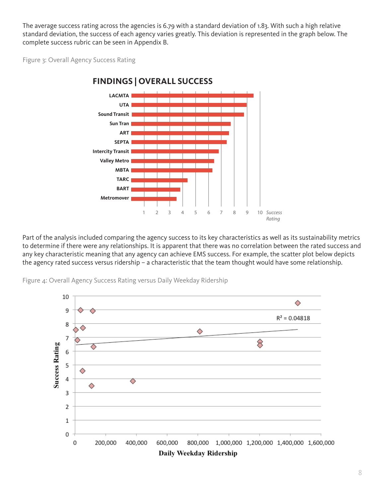The average success rating across the agencies is 6.79 with a standard deviation of 1.83. With such a high relative standard deviation, the success of each agency varies greatly. This deviation is represented in the graph below. The complete success rubric can be seen in Appendix B.

Figure 3: Overall Agency Success Rating



Part of the analysis included comparing the agency success to its key characteristics as well as its sustainability metrics to determine if there were any relationships. It is apparent that there was no correlation between the rated success and any key characteristic meaning that any agency can achieve EMS success. For example, the scatter plot below depicts the agency rated success versus ridership – a characteristic that the team thought would have some relationship.

Figure 4: Overall Agency Success Rating versus Daily Weekday Ridership

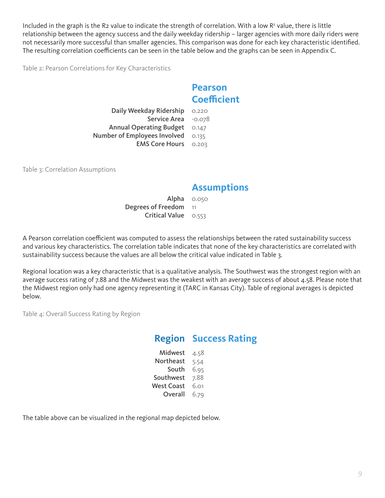Included in the graph is the R2 value to indicate the strength of correlation. With a low R<sup>2</sup> value, there is little relationship between the agency success and the daily weekday ridership – larger agencies with more daily riders were not necessarily more successful than smaller agencies. This comparison was done for each key characteristic identified. The resulting correlation coefficients can be seen in the table below and the graphs can be seen in Appendix C.

Table 2: Pearson Correlations for Key Characteristics

## **Pearson Coefficient**

Daily Weekday Ridership 0.220 Service Area -0.078 Annual Operating Budget Number of Employees Involved 0.135 EMS Core Hours 0.203 0.147

Table 3: Correlation Assumptions

## **Assumptions**

Alpha 0.050 Degrees of Freedom Critical Value 0.553 11

A Pearson correlation coefficient was computed to assess the relationships between the rated sustainability success and various key characteristics. The correlation table indicates that none of the key characteristics are correlated with sustainability success because the values are all below the critical value indicated in Table 3.

Regional location was a key characteristic that is a qualitative analysis. The Southwest was the strongest region with an average success rating of 7.88 and the Midwest was the weakest with an average success of about 4.58. Please note that the Midwest region only had one agency representing it (TARC in Kansas City). Table of regional averages is depicted below.

Table 4: Overall Success Rating by Region

## **Region Success Rating**

Midwest 4.58 Northeast 5.54 South 6.95 Southwest 7.88 West Coast 6.01 Overall 6.79

The table above can be visualized in the regional map depicted below.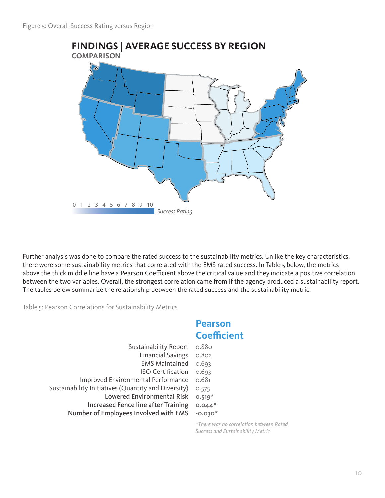

Further analysis was done to compare the rated success to the sustainability metrics. Unlike the key characteristics, there were some sustainability metrics that correlated with the EMS rated success. In Table 5 below, the metrics above the thick middle line have a Pearson Coefficient above the critical value and they indicate a positive correlation between the two variables. Overall, the strongest correlation came from if the agency produced a sustainability report. The tables below summarize the relationship between the rated success and the sustainability metric.

Table 5: Pearson Correlations for Sustainability Metrics

## **Pearson Coefficient**

Sustainability Report Financial Savings EMS Maintained ISO Certification Improved Environmental Performance Sustainability Initiatives (Quantity and Diversity) Lowered Environmental Risk Increased Fence line after Training Number of Employees Involved with EMS

### 0.880 0.802 0.693 0.693 0.681 0.575 0.519\*

0.044\*

 $-0.030*$ 

*\*There was no correlation between Rated Success and Sustainability Metric*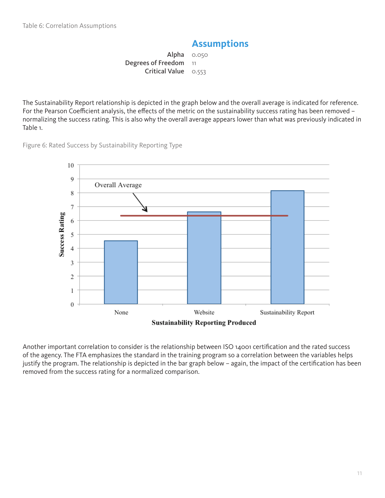## **Assumptions**

Alpha Degrees of Freedom Critical Value 0.050 11 0.553

The Sustainability Report relationship is depicted in the graph below and the overall average is indicated for reference. For the Pearson Coefficient analysis, the effects of the metric on the sustainability success rating has been removed – normalizing the success rating. This is also why the overall average appears lower than what was previously indicated in Table 1.

Figure 6: Rated Success by Sustainability Reporting Type



Another important correlation to consider is the relationship between ISO 14001 certification and the rated success of the agency. The FTA emphasizes the standard in the training program so a correlation between the variables helps justify the program. The relationship is depicted in the bar graph below – again, the impact of the certification has been removed from the success rating for a normalized comparison.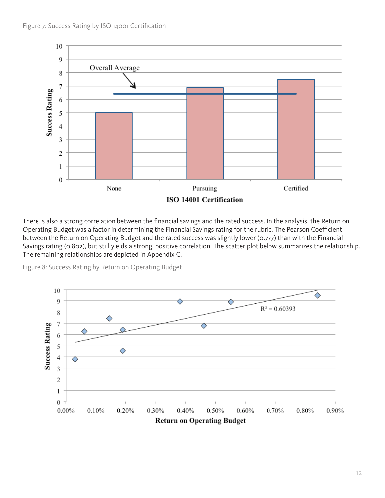

There is also a strong correlation between the financial savings and the rated success. In the analysis, the Return on Operating Budget was a factor in determining the Financial Savings rating for the rubric. The Pearson Coefficient between the Return on Operating Budget and the rated success was slightly lower (0.777) than with the Financial Savings rating (0.802), but still yields a strong, positive correlation. The scatter plot below summarizes the relationship. The remaining relationships are depicted in Appendix C.



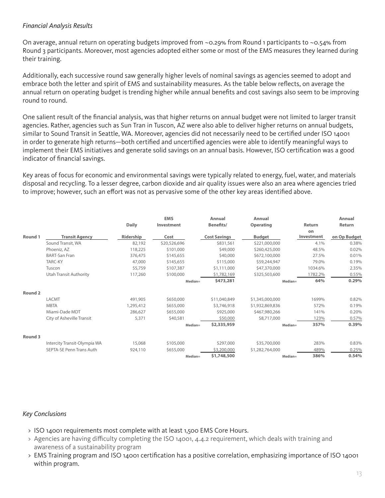#### *Financial Analysis Results*

On average, annual return on operating budgets improved from  $\sim$ 0.29% from Round 1 participants to  $\sim$ 0.54% from Round 3 participants. Moreover, most agencies adopted either some or most of the EMS measures they learned during their training.

Additionally, each successive round saw generally higher levels of nominal savings as agencies seemed to adopt and embrace both the letter and spirit of EMS and sustainability measures. As the table below reflects, on average the annual return on operating budget is trending higher while annual benefits and cost savings also seem to be improving round to round.

One salient result of the financial analysis, was that higher returns on annual budget were not limited to larger transit agencies. Rather, agencies such as Sun Tran in Tuscon, AZ were also able to deliver higher returns on annual budgets, similar to Sound Transit in Seattle, WA. Moreover, agencies did not necessarily need to be certified under ISO 14001 in order to generate high returns—both certified and uncertified agencies were able to identify meaningful ways to implement their EMS initiatives and generate solid savings on an annual basis. However, ISO certification was a good indicator of financial savings.

Key areas of focus for economic and environmental savings were typically related to energy, fuel, water, and materials disposal and recycling. To a lesser degree, carbon dioxide and air quality issues were also an area where agencies tried to improve; however, such an effort was not as pervasive some of the other key areas identified above.

|         |                               | <b>Daily</b> | <b>EMS</b><br>Investment | Annual<br>Benefits/ | Annual<br><b>Operating</b> | Return           | Annual<br>Return |
|---------|-------------------------------|--------------|--------------------------|---------------------|----------------------------|------------------|------------------|
| Round 1 | <b>Transit Agency</b>         | Ridership    | Cost                     | <b>Cost Savings</b> | <b>Budget</b>              | on<br>Investment | on Op Budget     |
|         | Sound Transit, WA             | 82,192       | \$20,526,696             | \$831,561           | \$221,000,000              | 4.1%             | 0.38%            |
|         | Phoeniz, AZ                   | 118,225      | \$101,000                | \$49,000            | \$260,425,000              | 48.5%            | 0.02%            |
|         | <b>BART-San Fran</b>          | 376,475      | \$145,655                | \$40,000            | \$672,100,000              | 27.5%            | 0.01%            |
|         | <b>TARC-KY</b>                | 47,000       | \$145,655                | \$115,000           | \$59,244,947               | 79.0%            | 0.19%            |
|         | Tuscon                        | 55,759       | \$107,387                | \$1,111,000         | \$47,370,000               | 1034.6%          | 2.35%            |
|         | <b>Utah Transit Authority</b> | 117,260      | \$100,000                | \$1,782,169         | \$325,503,600              | 1782.2%          | 0.55%            |
|         |                               |              | Median=                  | \$473,281           | Median=                    | 64%              | 0.29%            |
| Round 2 |                               |              |                          |                     |                            |                  |                  |
|         | <b>LACMT</b>                  | 491,905      | \$650,000                | \$11,040,849        | \$1,345,000,000            | 1699%            | 0.82%            |
|         | <b>MBTA</b>                   | 1,295,412    | \$655,000                | \$3,746,918         | \$1,932,869,836            | 572%             | 0.19%            |
|         | Miami-Dade MDT                | 286.627      | \$655,000                | \$925,000           | \$467,980,266              | 141%             | 0.20%            |
|         | City of Asheville Transit     | 5,371        | \$40,581                 | \$50,000            | \$8,717,000                | 123%             | 0.57%            |
|         |                               |              | Median=                  | \$2,335,959         | Median=                    | 357%             | 0.39%            |
| Round 3 |                               |              |                          |                     |                            |                  |                  |
|         | Intercity Transit-Olympia WA  | 15,068       | \$105,000                | \$297,000           | \$35,700,000               | 283%             | 0.83%            |
|         | SEPTA-SE Penn Trans Auth      | 924,110      | \$655,000                | \$3,200,000         | \$1,282,764,000            | 489%             | 0.25%            |
|         |                               |              | Median=                  | \$1,748,500         | Median=                    | 386%             | 0.54%            |

#### *Key Conclusions*

- > ISO 14001 requirements most complete with at least 1,500 EMS Core Hours.
- > Agencies are having difficulty completing the ISO 14001, 4.4.2 requirement, which deals with training and awareness of a sustainability program
- > EMS Training program and ISO 14001 certification has a positive correlation, emphasizing importance of ISO 14001 within program.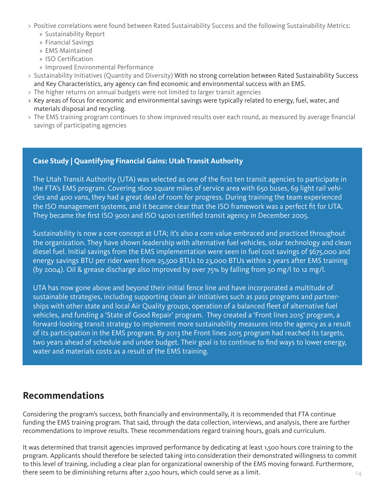- > Positive correlations were found between Rated Sustainability Success and the following Sustainability Metrics:
	- » Sustainability Report
	- » Financial Savings
	- » EMS Maintained
	- » ISO Certification
	- » Improved Environmental Performance
- > Sustainability Initiatives (Quantity and Diversity) With no strong correlation between Rated Sustainability Success and Key Characteristics, any agency can find economic and environmental success with an EMS.
- > The higher returns on annual budgets were not limited to larger transit agencies
- > Key areas of focus for economic and environmental savings were typically related to energy, fuel, water, and materials disposal and recycling.
- > The EMS training program continues to show improved results over each round, as measured by average financial savings of participating agencies

### **Case Study | Quantifying Financial Gains: Utah Transit Authority**

The Utah Transit Authority (UTA) was selected as one of the first ten transit agencies to participate in the FTA's EMS program. Covering 1600 square miles of service area with 650 buses, 69 light rail vehicles and 400 vans, they had a great deal of room for progress. During training the team experienced the ISO management systems, and it became clear that the ISO framework was a perfect fit for UTA. They became the first ISO 9001 and ISO 14001 certified transit agency in December 2005.

Sustainability is now a core concept at UTA; it's also a core value embraced and practiced throughout the organization. They have shown leadership with alternative fuel vehicles, solar technology and clean diesel fuel. Initial savings from the EMS implementation were seen in fuel cost savings of \$675,000 and energy savings BTU per rider went from 25,500 BTUs to 23,000 BTUs within 2 years after EMS training (by 2004). Oil & grease discharge also improved by over 75% by falling from 50 mg/l to 12 mg/l.

UTA has now gone above and beyond their initial fence line and have incorporated a multitude of sustainable strategies, including supporting clean air initiatives such as pass programs and partnerships with other state and local Air Quality groups, operation of a balanced fleet of alternative fuel vehicles, and funding a 'State of Good Repair' program. They created a 'Front lines 2015' program, a forward-looking transit strategy to implement more sustainability measures into the agency as a result of its participation in the EMS program. By 2013 the Front lines 2015 program had reached its targets, two years ahead of schedule and under budget. Their goal is to continue to find ways to lower energy, water and materials costs as a result of the EMS training.

## **Recommendations**

Considering the program's success, both financially and environmentally, it is recommended that FTA continue funding the EMS training program. That said, through the data collection, interviews, and analysis, there are further recommendations to improve results. These recommendations regard training hours, goals and curriculum.

It was determined that transit agencies improved performance by dedicating at least 1,500 hours core training to the program. Applicants should therefore be selected taking into consideration their demonstrated willingness to commit to this level of training, including a clear plan for organizational ownership of the EMS moving forward. Furthermore, there seem to be diminishing returns after 2,500 hours, which could serve as a limit.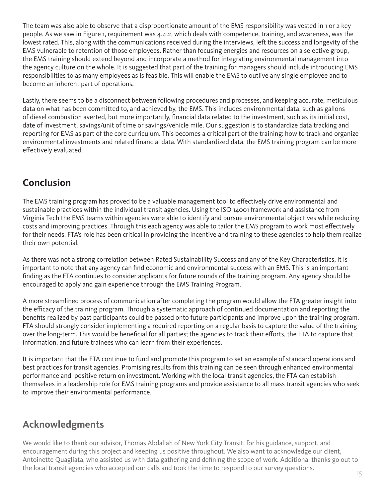The team was also able to observe that a disproportionate amount of the EMS responsibility was vested in 1 or 2 key people. As we saw in Figure 1, requirement was 4.4.2, which deals with competence, training, and awareness, was the lowest rated. This, along with the communications received during the interviews, left the success and longevity of the EMS vulnerable to retention of those employees. Rather than focusing energies and resources on a selective group, the EMS training should extend beyond and incorporate a method for integrating environmental management into the agency culture on the whole. It is suggested that part of the training for managers should include introducing EMS responsibilities to as many employees as is feasible. This will enable the EMS to outlive any single employee and to become an inherent part of operations.

Lastly, there seems to be a disconnect between following procedures and processes, and keeping accurate, meticulous data on what has been committed to, and achieved by, the EMS. This includes environmental data, such as gallons of diesel combustion averted, but more importantly, financial data related to the investment, such as its initial cost, date of investment, savings/unit of time or savings/vehicle mile. Our suggestion is to standardize data tracking and reporting for EMS as part of the core curriculum. This becomes a critical part of the training: how to track and organize environmental investments and related financial data. With standardized data, the EMS training program can be more effectively evaluated.

# **Conclusion**

The EMS training program has proved to be a valuable management tool to effectively drive environmental and sustainable practices within the individual transit agencies. Using the ISO 14001 framework and assistance from Virginia Tech the EMS teams within agencies were able to identify and pursue environmental objectives while reducing costs and improving practices. Through this each agency was able to tailor the EMS program to work most effectively for their needs. FTA's role has been critical in providing the incentive and training to these agencies to help them realize their own potential.

As there was not a strong correlation between Rated Sustainability Success and any of the Key Characteristics, it is important to note that any agency can find economic and environmental success with an EMS. This is an important finding as the FTA continues to consider applicants for future rounds of the training program. Any agency should be encouraged to apply and gain experience through the EMS Training Program.

A more streamlined process of communication after completing the program would allow the FTA greater insight into the efficacy of the training program. Through a systematic approach of continued documentation and reporting the benefits realized by past participants could be passed onto future participants and improve upon the training program. FTA should strongly consider implementing a required reporting on a regular basis to capture the value of the training over the long-term. This would be beneficial for all parties; the agencies to track their efforts, the FTA to capture that information, and future trainees who can learn from their experiences.

It is important that the FTA continue to fund and promote this program to set an example of standard operations and best practices for transit agencies. Promising results from this training can be seen through enhanced environmental performance and positive return on investment. Working with the local transit agencies, the FTA can establish themselves in a leadership role for EMS training programs and provide assistance to all mass transit agencies who seek to improve their environmental performance.

# **Acknowledgments**

We would like to thank our advisor, Thomas Abdallah of New York City Transit, for his guidance, support, and encouragement during this project and keeping us positive throughout. We also want to acknowledge our client, Antoinette Quagliata, who assisted us with data gathering and defining the scope of work. Additional thanks go out to the local transit agencies who accepted our calls and took the time to respond to our survey questions.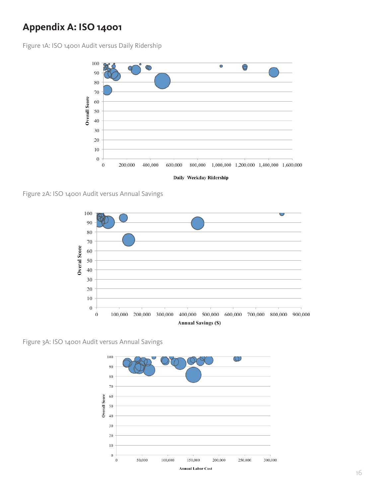# **Appendix A: ISO 14001**

Figure 1A: ISO 14001 Audit versus Daily Ridership



Figure 2A: ISO 14001 Audit versus Annual Savings



Figure 3A: ISO 14001 Audit versus Annual Savings

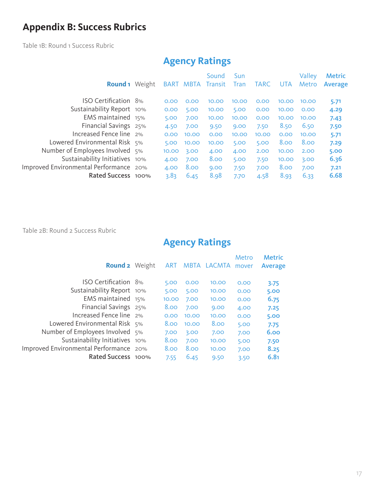# **Appendix B: Success Rubrics**

Table 1B: Round 1 Success Rubric

|                                        |                   |             | Sound   | Sun   |       |       | Valley | <b>Metric</b> |
|----------------------------------------|-------------------|-------------|---------|-------|-------|-------|--------|---------------|
| Round <sub>1</sub> Weight              | <b>BART</b>       | <b>MBTA</b> | Transit | Tran  | TARC  | UTA   | Metro  | Average       |
| ISO Certification 8%                   | 0.00              | 0.00        | 10.00   | 10.00 | 0.00  | 10.00 | 10.00  | 5.71          |
| Sustainability Report 10%              | 0.00 <sub>1</sub> | 5.00        | 10.00   | 5.00  | 0.00  | 10.00 | 0.00   | 4.29          |
| EMS maintained 15%                     | 5.00              | 7.00        | 10.00   | 10.00 | 0.00  | 10.00 | 10.00  | 7.43          |
| Financial Savings 25%                  | 4.50              | 7.00        | 9.50    | 9.00  | 7.50  | 8.50  | 6.50   | 7.50          |
| Increased Fence line 2%                | 0.00              | 10.00       | 0.00    | 10.00 | 10.00 | 0.00  | 10.00  | 5.71          |
| Lowered Environmental Risk 5%          | 5.00              | 10.00       | 10.00   | 5.00  | 5.00  | 8.00  | 8.00   | 7.29          |
| Number of Employees Involved 5%        | 10.00             | 3.00        | 4.00    | 4.00  | 2.00  | 10.00 | 2.00   | 5.00          |
| Sustainability Initiatives 10%         | 4.00              | 7.00        | 8.00    | 5.00  | 7.50  | 10.00 | 3.00   | 6.36          |
| Improved Environmental Performance 20% | 4.00              | 8.00        | 9.00    | 7.50  | 7.00  | 8.00  | 7.00   | 7.21          |
| Rated Success 100%                     | 3.83              | 6.45        | 8.98    | 7.70  | 4.58  | 8.93  | 6.33   | 6.68          |
|                                        |                   |             |         |       |       |       |        |               |

**Agency Ratings**

Table 2B: Round 2 Success Rubric

# **Agency Ratings**

| <b>Round 2</b> Weight                  | ART   |       | MBTA LACMTA | Metro<br>mover | <b>Metric</b><br><b>Average</b> |
|----------------------------------------|-------|-------|-------------|----------------|---------------------------------|
| ISO Certification 8%                   | 5.00  | 0.00  | 10.00       | 0.00           | 3.75                            |
| Sustainability Report 10%              | 5.00  | 5.00  | 10.00       | 0.00           | 5.00                            |
| EMS maintained 15%                     | 10.00 | 7.00  | 10.00       | 0.00           | 6.75                            |
| Financial Savings 25%                  | 8.00  | 7.00  | 9.00        | 4.00           | 7.25                            |
| Increased Fence line 2%                | 0.00  | 10.00 | 10.00       | 0.00           | 5.00                            |
| Lowered Environmental Risk 5%          | 8.00  | 10.00 | 8.00        | 5.00           | 7.75                            |
| Number of Employees Involved 5%        | 7.00  | 3.00  | 7.00        | 7.00           | 6.00                            |
| Sustainability Initiatives 10%         | 8.00  | 7.00  | 10.00       | 5.00           | 7.50                            |
| Improved Environmental Performance 20% | 8.00  | 8.00  | 10.00       | 7.00           | 8.25                            |
| Rated Success 100%                     | 7.55  | 6.45  | 9.50        | 3.50           | 6.81                            |
|                                        |       |       |             |                |                                 |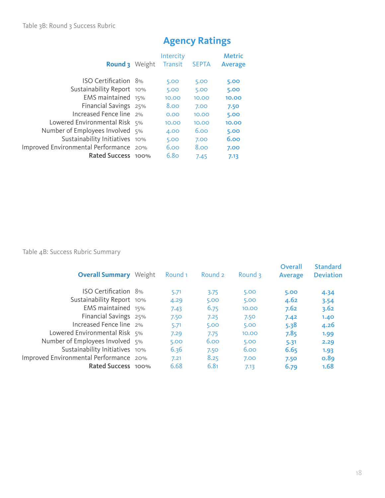# **Agency Ratings**

| Intercity<br>Transit                                                                                                                                                                                                                                                                                        | <b>SEPTA</b> | <b>Metric</b><br><b>Average</b> |
|-------------------------------------------------------------------------------------------------------------------------------------------------------------------------------------------------------------------------------------------------------------------------------------------------------------|--------------|---------------------------------|
| 5.00                                                                                                                                                                                                                                                                                                        | 5.00         | 5.00                            |
| 5.00                                                                                                                                                                                                                                                                                                        | 5.00         | 5.00                            |
| 10.00                                                                                                                                                                                                                                                                                                       | 10.00        | 10.00                           |
| 8.00                                                                                                                                                                                                                                                                                                        | 7.00         | 7.50                            |
| 0.00                                                                                                                                                                                                                                                                                                        | 10.00        | 5.00                            |
| 10.00                                                                                                                                                                                                                                                                                                       | 10.00        | 10.00                           |
| 4.00                                                                                                                                                                                                                                                                                                        | 6.00         | 5.00                            |
| 5.00                                                                                                                                                                                                                                                                                                        | 7.00         | 6.00                            |
| 6.00                                                                                                                                                                                                                                                                                                        | 8.00         | 7.00                            |
| 6.8 <sub>O</sub>                                                                                                                                                                                                                                                                                            | 7.45         | 7.13                            |
| Weight<br>ISO Certification 8%<br>Sustainability Report 10%<br>EMS maintained 15%<br>Financial Savings 25%<br>Increased Fence line 2%<br>Lowered Environmental Risk 5%<br>Number of Employees Involved 5%<br>Sustainability Initiatives 10%<br>Improved Environmental Performance 20%<br>Rated Success 100% |              |                                 |

Table 4B: Success Rubric Summary

| <b>Overall Summary</b>                 | Weight | Round <sub>1</sub> | Round <sub>2</sub> | Round 3 | <b>Overall</b><br>Average | <b>Standard</b><br><b>Deviation</b> |
|----------------------------------------|--------|--------------------|--------------------|---------|---------------------------|-------------------------------------|
| ISO Certification 8%                   |        | 5.71               | 3.75               | 5.00    | 5.00                      | 4.34                                |
| Sustainability Report 10%              |        | 4.29               | 5.00               | 5.00    | 4.62                      | 3.54                                |
| EMS maintained 15%                     |        | 7.43               | 6.75               | 10.00   | 7.62                      | 3.62                                |
| Financial Savings 25%                  |        | 7.50               | 7.25               | 7.50    | 7.42                      | 1.40                                |
| Increased Fence line 2%                |        | 5.71               | 5.00               | 5.00    | 5.38                      | 4.26                                |
| Lowered Environmental Risk 5%          |        | 7.29               | 7.75               | 10.00   | 7.85                      | 1.99                                |
| Number of Employees Involved 5%        |        | 5.00               | 6.00               | 5.00    | 5.31                      | 2.29                                |
| Sustainability Initiatives 10%         |        | 6.36               | 7.50               | 6.00    | 6.65                      | 1.93                                |
| Improved Environmental Performance 20% |        | 7.21               | 8.25               | 7.00    | 7.50                      | 0.89                                |
| Rated Success 100%                     |        | 6.68               | 6.81               | 7.13    | 6.79                      | 1.68                                |
|                                        |        |                    |                    |         |                           |                                     |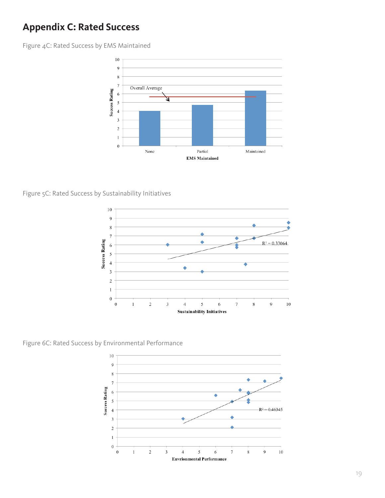# **Appendix C: Rated Success**

Figure 4C: Rated Success by EMS Maintained



Figure 5C: Rated Success by Sustainability Initiatives



Figure 6C: Rated Success by Environmental Performance

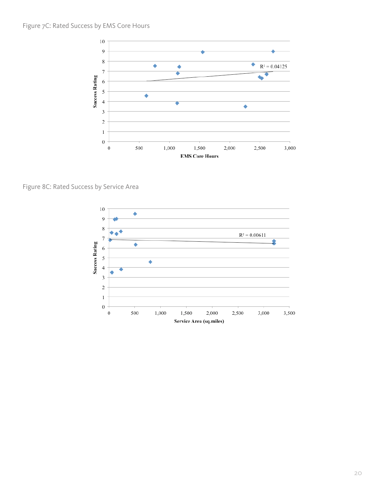

Figure 8C: Rated Success by Service Area

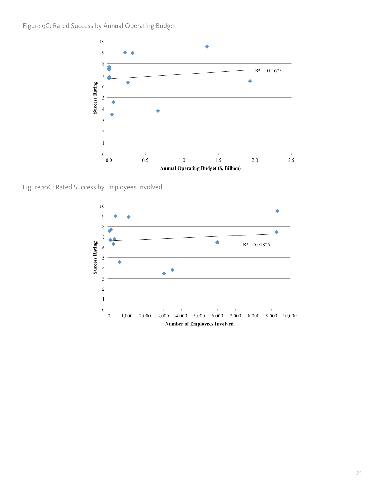

Figure 10C: Rated Success by Employees Involved

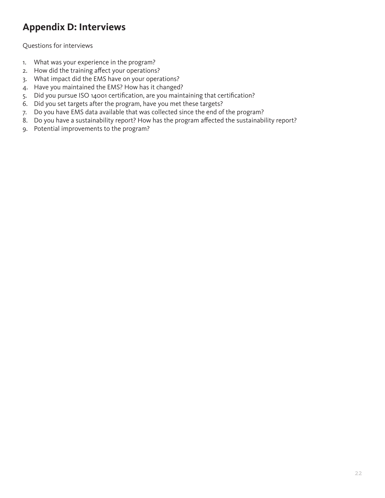# **Appendix D: Interviews**

Questions for interviews

- 1. What was your experience in the program?
- 2. How did the training affect your operations?
- 3. What impact did the EMS have on your operations?
- 4. Have you maintained the EMS? How has it changed?
- 5. Did you pursue ISO 14001 certification, are you maintaining that certification?
- 6. Did you set targets after the program, have you met these targets?
- 7. Do you have EMS data available that was collected since the end of the program?
- 8. Do you have a sustainability report? How has the program affected the sustainability report?
- 9. Potential improvements to the program?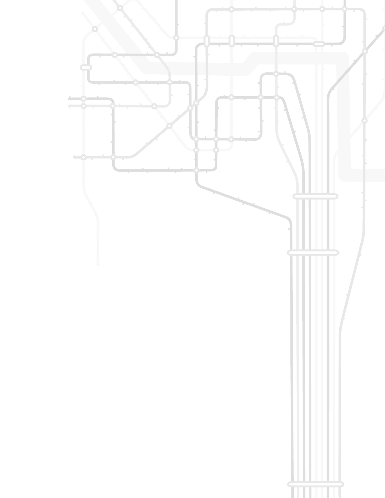